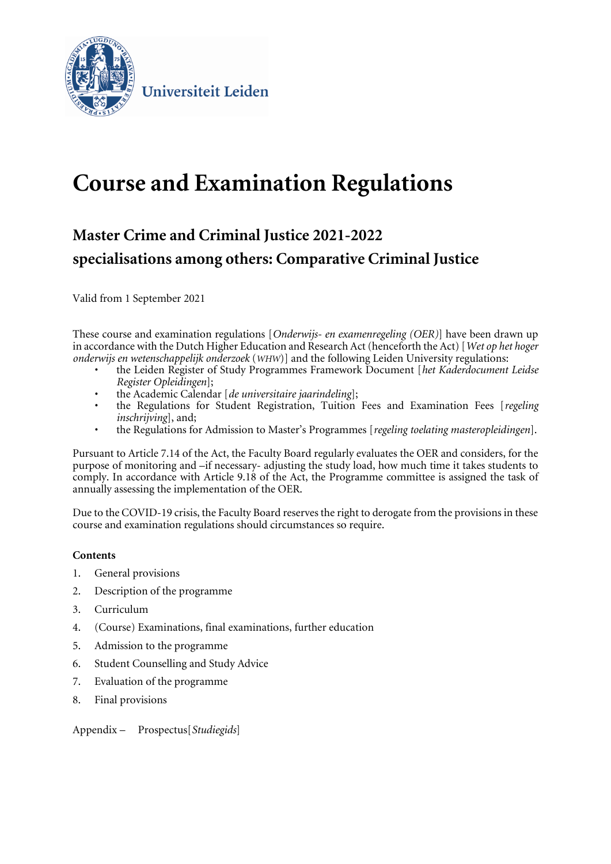

Universiteit Leiden

# **Course and Examination Regulations**

## **Master Crime and Criminal Justice 2021-2022 specialisations among others: Comparative Criminal Justice**

Valid from 1 September 2021

These course and examination regulations [*Onderwijs- en examenregeling (OER)*] have been drawn up in accordance with the Dutch Higher Education and Research Act (henceforth the Act) [*Wet op het hoger onderwijs en wetenschappelijk onderzoek* (*WHW*)] and the following Leiden University regulations:

- the Leiden Register of Study Programmes Framework Document [*het Kaderdocument Leidse Register Opleidingen*];
- the Academic Calendar [*de universitaire jaarindeling*];
- the Regulations for Student Registration, Tuition Fees and Examination Fees [*regeling inschrijving*], and;
- the Regulations for Admission to Master's Programmes [*regeling toelating masteropleidingen*].

Pursuant to Article 7.14 of the Act, the Faculty Board regularly evaluates the OER and considers, for the purpose of monitoring and –if necessary- adjusting the study load, how much time it takes students to comply. In accordance with Article 9.18 of the Act, the Programme committee is assigned the task of annually assessing the implementation of the OER.

Due to the COVID-19 crisis, the Faculty Board reserves the right to derogate from the provisions in these course and examination regulations should circumstances so require.

## **Contents**

- 1. General provisions
- 2. Description of the programme
- 3. Curriculum
- 4. (Course) Examinations, final examinations, further education
- 5. Admission to the programme
- 6. Student Counselling and Study Advice
- 7. Evaluation of the programme
- 8. Final provisions

Appendix – Prospectus[*Studiegids*]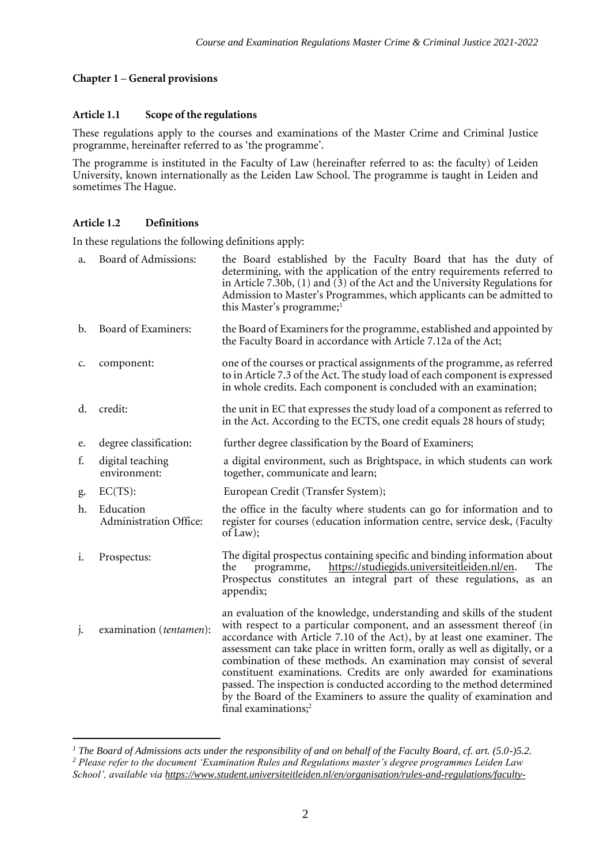## **Chapter 1** – **General provisions**

#### **Article 1.1 Scope of the regulations**

These regulations apply to the courses and examinations of the Master Crime and Criminal Justice programme, hereinafter referred to as 'the programme'.

The programme is instituted in the Faculty of Law (hereinafter referred to as: the faculty) of Leiden University, known internationally as the Leiden Law School. The programme is taught in Leiden and sometimes The Hague.

## **Article 1.2 Definitions**

In these regulations the following definitions apply:

| a.             | Board of Admissions:                | the Board established by the Faculty Board that has the duty of<br>determining, with the application of the entry requirements referred to<br>in Article $7.30b$ , $(1)$ and $(3)$ of the Act and the University Regulations for<br>Admission to Master's Programmes, which applicants can be admitted to<br>this Master's programme; <sup>1</sup>                                                                                                                                                                                                                                                                                                |
|----------------|-------------------------------------|---------------------------------------------------------------------------------------------------------------------------------------------------------------------------------------------------------------------------------------------------------------------------------------------------------------------------------------------------------------------------------------------------------------------------------------------------------------------------------------------------------------------------------------------------------------------------------------------------------------------------------------------------|
| $\mathbf{b}$ . | Board of Examiners:                 | the Board of Examiners for the programme, established and appointed by<br>the Faculty Board in accordance with Article 7.12a of the Act;                                                                                                                                                                                                                                                                                                                                                                                                                                                                                                          |
| c.             | component:                          | one of the courses or practical assignments of the programme, as referred<br>to in Article 7.3 of the Act. The study load of each component is expressed<br>in whole credits. Each component is concluded with an examination;                                                                                                                                                                                                                                                                                                                                                                                                                    |
| d.             | credit:                             | the unit in EC that expresses the study load of a component as referred to<br>in the Act. According to the ECTS, one credit equals 28 hours of study;                                                                                                                                                                                                                                                                                                                                                                                                                                                                                             |
| e.             | degree classification:              | further degree classification by the Board of Examiners;                                                                                                                                                                                                                                                                                                                                                                                                                                                                                                                                                                                          |
| f.             | digital teaching<br>environment:    | a digital environment, such as Brightspace, in which students can work<br>together, communicate and learn;                                                                                                                                                                                                                                                                                                                                                                                                                                                                                                                                        |
| g.             | $EC(TS)$ :                          | European Credit (Transfer System);                                                                                                                                                                                                                                                                                                                                                                                                                                                                                                                                                                                                                |
| h.             | Education<br>Administration Office: | the office in the faculty where students can go for information and to<br>register for courses (education information centre, service desk, (Faculty<br>of Law);                                                                                                                                                                                                                                                                                                                                                                                                                                                                                  |
| 1.             | Prospectus:                         | The digital prospectus containing specific and binding information about<br>https://studiegids.universiteitleiden.nl/en.<br>the<br>The<br>programme,<br>Prospectus constitutes an integral part of these regulations, as an<br>appendix;                                                                                                                                                                                                                                                                                                                                                                                                          |
| j.             | examination (tentamen):             | an evaluation of the knowledge, understanding and skills of the student<br>with respect to a particular component, and an assessment thereof (in<br>accordance with Article 7.10 of the Act), by at least one examiner. The<br>assessment can take place in written form, orally as well as digitally, or a<br>combination of these methods. An examination may consist of several<br>constituent examinations. Credits are only awarded for examinations<br>passed. The inspection is conducted according to the method determined<br>by the Board of the Examiners to assure the quality of examination and<br>final examinations; <sup>2</sup> |

*<sup>1</sup> The Board of Admissions acts under the responsibility of and on behalf of the Faculty Board, cf. art. (5.0-)5.2. <sup>2</sup> Please refer to the document 'Examination Rules and Regulations master's degree programmes Leiden Law School', available via [https://www.student.universiteitleiden.nl/en/organisation/rules-and-regulations/faculty-](https://www.student.universiteitleiden.nl/en/organisation/rules-and-regulations/faculty-and-study-regulations/faculty-and-study-regulations/law/public-international-law-llm?cd=public-international-law-llm&cf=law#tab-2)*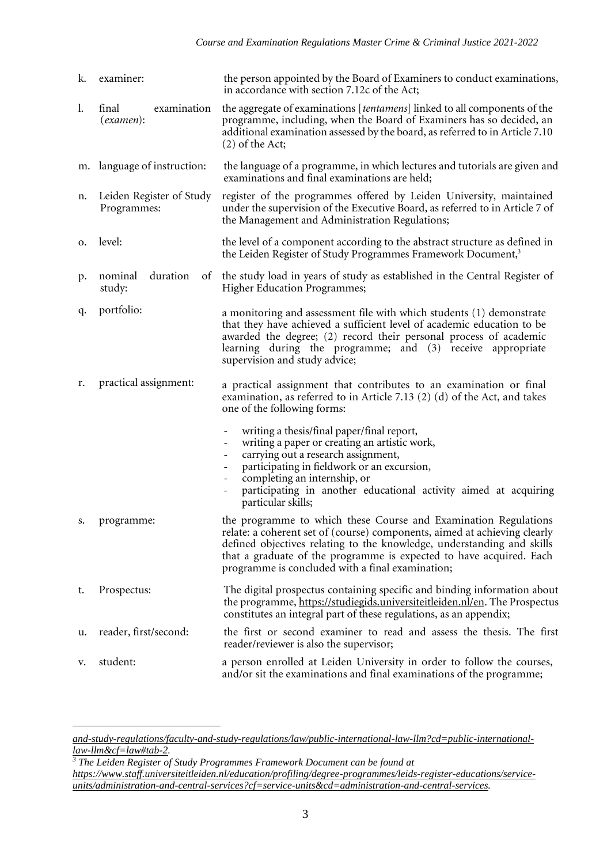| k. | examiner:                               | the person appointed by the Board of Examiners to conduct examinations,<br>in accordance with section 7.12c of the Act;                                                                                                                                                                                                                                                                                                                                 |
|----|-----------------------------------------|---------------------------------------------------------------------------------------------------------------------------------------------------------------------------------------------------------------------------------------------------------------------------------------------------------------------------------------------------------------------------------------------------------------------------------------------------------|
| 1. | examination<br>final<br>(examen):       | the aggregate of examinations [tentamens] linked to all components of the<br>programme, including, when the Board of Examiners has so decided, an<br>additional examination assessed by the board, as referred to in Article 7.10<br>$(2)$ of the Act;                                                                                                                                                                                                  |
| m. | language of instruction:                | the language of a programme, in which lectures and tutorials are given and<br>examinations and final examinations are held;                                                                                                                                                                                                                                                                                                                             |
| n. | Leiden Register of Study<br>Programmes: | register of the programmes offered by Leiden University, maintained<br>under the supervision of the Executive Board, as referred to in Article 7 of<br>the Management and Administration Regulations;                                                                                                                                                                                                                                                   |
| о. | level:                                  | the level of a component according to the abstract structure as defined in<br>the Leiden Register of Study Programmes Framework Document, <sup>3</sup>                                                                                                                                                                                                                                                                                                  |
| p. | duration<br>nominal<br>of<br>study:     | the study load in years of study as established in the Central Register of<br><b>Higher Education Programmes;</b>                                                                                                                                                                                                                                                                                                                                       |
| q. | portfolio:                              | a monitoring and assessment file with which students (1) demonstrate<br>that they have achieved a sufficient level of academic education to be<br>awarded the degree; (2) record their personal process of academic<br>learning during the programme; and (3) receive appropriate<br>supervision and study advice;                                                                                                                                      |
| r. | practical assignment:                   | a practical assignment that contributes to an examination or final<br>examination, as referred to in Article 7.13 $(2)$ $(d)$ of the Act, and takes<br>one of the following forms:                                                                                                                                                                                                                                                                      |
|    |                                         | writing a thesis/final paper/final report,<br>$\overline{\phantom{a}}$<br>writing a paper or creating an artistic work,<br>$\overline{\phantom{a}}$<br>carrying out a research assignment,<br>$\overline{\phantom{a}}$<br>participating in fieldwork or an excursion,<br>$\overline{\phantom{a}}$<br>completing an internship, or<br>$\overline{\phantom{a}}$<br>participating in another educational activity aimed at acquiring<br>particular skills; |
| s. | programme:                              | the programme to which these Course and Examination Regulations<br>relate: a coherent set of (course) components, aimed at achieving clearly<br>defined objectives relating to the knowledge, understanding and skills<br>that a graduate of the programme is expected to have acquired. Each<br>programme is concluded with a final examination;                                                                                                       |
| t. | Prospectus:                             | The digital prospectus containing specific and binding information about<br>the programme, https://studiegids.universiteitleiden.nl/en. The Prospectus<br>constitutes an integral part of these regulations, as an appendix;                                                                                                                                                                                                                            |
| u. | reader, first/second:                   | the first or second examiner to read and assess the thesis. The first<br>reader/reviewer is also the supervisor;                                                                                                                                                                                                                                                                                                                                        |
| v. | student:                                | a person enrolled at Leiden University in order to follow the courses,<br>and/or sit the examinations and final examinations of the programme;                                                                                                                                                                                                                                                                                                          |

*[and-study-regulations/faculty-and-study-regulations/law/public-international-law-llm?cd=public-international](https://www.student.universiteitleiden.nl/en/organisation/rules-and-regulations/faculty-and-study-regulations/faculty-and-study-regulations/law/public-international-law-llm?cd=public-international-law-llm&cf=law#tab-2)[law-llm&cf=law#tab-2.](https://www.student.universiteitleiden.nl/en/organisation/rules-and-regulations/faculty-and-study-regulations/faculty-and-study-regulations/law/public-international-law-llm?cd=public-international-law-llm&cf=law#tab-2)*

*<sup>3</sup> The Leiden Register of Study Programmes Framework Document can be found at [https://www.staff.universiteitleiden.nl/education/profiling/degree-programmes/leids-register-educations/service](https://www.staff.universiteitleiden.nl/education/profiling/degree-programmes/leids-register-educations/service-units/administration-and-central-services?cf=service-units&cd=administration-and-central-services)[units/administration-and-central-services?cf=service-units&cd=administration-and-central-services.](https://www.staff.universiteitleiden.nl/education/profiling/degree-programmes/leids-register-educations/service-units/administration-and-central-services?cf=service-units&cd=administration-and-central-services)*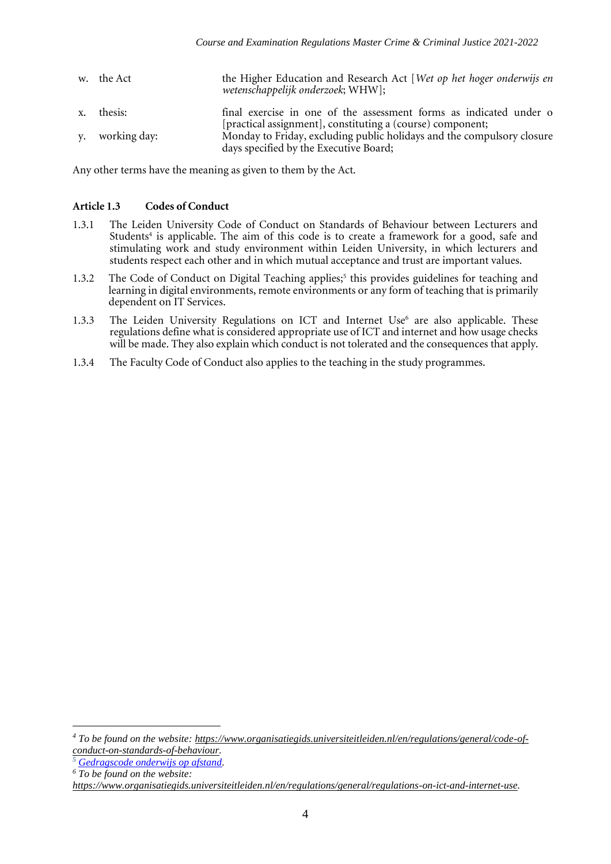| w. the Act      | the Higher Education and Research Act [Wet op het hoger onderwijs en<br>wetenschappelijk onderzoek; WHW]; |
|-----------------|-----------------------------------------------------------------------------------------------------------|
| x. thesis:      | final exercise in one of the assessment forms as indicated under o                                        |
|                 | [practical assignment], constituting a (course) component;                                                |
| y. working day: | Monday to Friday, excluding public holidays and the compulsory closure                                    |
|                 | days specified by the Executive Board;                                                                    |

Any other terms have the meaning as given to them by the Act.

## **Article 1.3 Codes of Conduct**

- 1.3.1 The Leiden University Code of Conduct on Standards of Behaviour between Lecturers and Students<sup>4</sup> is applicable. The aim of this code is to create a framework for a good, safe and stimulating work and study environment within Leiden University, in which lecturers and students respect each other and in which mutual acceptance and trust are important values.
- 1.3.2 The Code of Conduct on Digital Teaching applies;<sup>5</sup> this provides guidelines for teaching and learning in digital environments, remote environments or any form of teaching that is primarily dependent on IT Services.
- 1.3.3 The Leiden University Regulations on ICT and Internet Use $<sup>6</sup>$  are also applicable. These</sup> regulations define what is considered appropriate use of ICT and internet and how usage checks will be made. They also explain which conduct is not tolerated and the consequences that apply.
- 1.3.4 The Faculty Code of Conduct also applies to the teaching in the study programmes.

*<sup>4</sup> To be found on the website: [https://www.organisatiegids.universiteitleiden.nl/en/regulations/general/code-of](https://www.organisatiegids.universiteitleiden.nl/en/regulations/general/code-of-conduct-on-standards-of-behaviour)[conduct-on-standards-of-behaviour.](https://www.organisatiegids.universiteitleiden.nl/en/regulations/general/code-of-conduct-on-standards-of-behaviour)*

*<sup>5</sup> [Gedragscode onderwijs op afstand.](https://www.organisatiegids.universiteitleiden.nl/reglementen/algemeen/gedragscode-remote-teaching)*

*<sup>6</sup> To be found on the website:* 

*[https://www.organisatiegids.universiteitleiden.nl/en/regulations/general/regulations-on-ict-and-internet-use.](https://www.organisatiegids.universiteitleiden.nl/en/regulations/general/regulations-on-ict-and-internet-use)*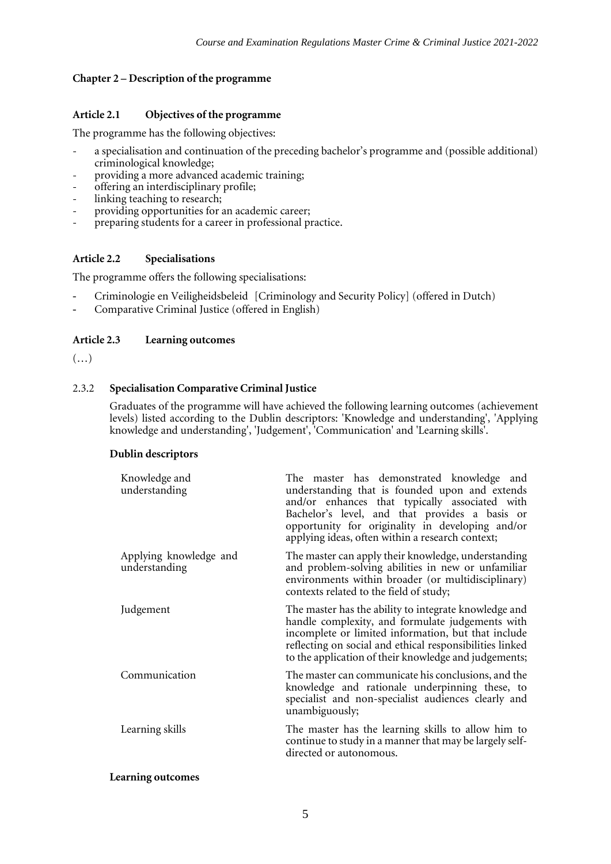#### **Chapter 2 – Description of the programme**

#### **Article 2.1 Objectives of the programme**

The programme has the following objectives:

- a specialisation and continuation of the preceding bachelor's programme and (possible additional) criminological knowledge;
- providing a more advanced academic training;
- offering an interdisciplinary profile;
- linking teaching to research;
- providing opportunities for an academic career;
- preparing students for a career in professional practice.

#### **Article 2.2 Specialisations**

The programme offers the following specialisations:

- Criminologie en Veiligheidsbeleid [Criminology and Security Policy] (offered in Dutch)
- Comparative Criminal Justice (offered in English)

#### **Article 2.3 Learning outcomes**

 $(\ldots)$ 

#### 2.3.2 **Specialisation Comparative Criminal Justice**

Graduates of the programme will have achieved the following learning outcomes (achievement levels) listed according to the Dublin descriptors: 'Knowledge and understanding', 'Applying knowledge and understanding', 'Judgement', 'Communication' and 'Learning skills'.

#### **Dublin descriptors**

| Knowledge and<br>understanding          | The master has demonstrated knowledge and<br>understanding that is founded upon and extends<br>and/or enhances that typically associated with<br>Bachelor's level, and that provides a basis or<br>opportunity for originality in developing and/or<br>applying ideas, often within a research context; |
|-----------------------------------------|---------------------------------------------------------------------------------------------------------------------------------------------------------------------------------------------------------------------------------------------------------------------------------------------------------|
| Applying knowledge and<br>understanding | The master can apply their knowledge, understanding<br>and problem-solving abilities in new or unfamiliar<br>environments within broader (or multidisciplinary)<br>contexts related to the field of study;                                                                                              |
| Judgement                               | The master has the ability to integrate knowledge and<br>handle complexity, and formulate judgements with<br>incomplete or limited information, but that include<br>reflecting on social and ethical responsibilities linked<br>to the application of their knowledge and judgements;                   |
| Communication                           | The master can communicate his conclusions, and the<br>knowledge and rationale underpinning these, to<br>specialist and non-specialist audiences clearly and<br>unambiguously;                                                                                                                          |
| Learning skills                         | The master has the learning skills to allow him to<br>continue to study in a manner that may be largely self-<br>directed or autonomous.                                                                                                                                                                |

#### **Learning outcomes**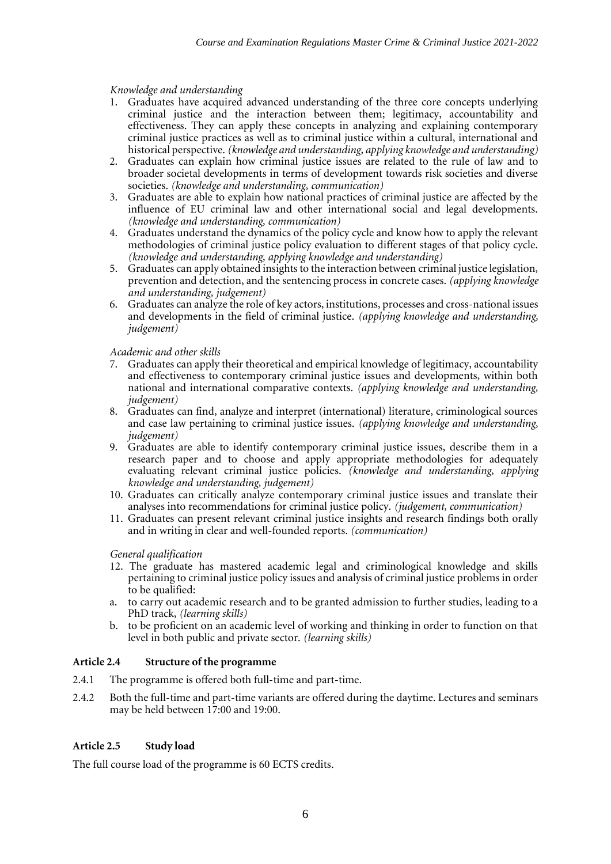#### *Knowledge and understanding*

- 1. Graduates have acquired advanced understanding of the three core concepts underlying criminal justice and the interaction between them; legitimacy, accountability and effectiveness. They can apply these concepts in analyzing and explaining contemporary criminal justice practices as well as to criminal justice within a cultural, international and historical perspective. *(knowledge and understanding, applying knowledge and understanding)*
- 2. Graduates can explain how criminal justice issues are related to the rule of law and to broader societal developments in terms of development towards risk societies and diverse societies. *(knowledge and understanding, communication)*
- 3. Graduates are able to explain how national practices of criminal justice are affected by the influence of EU criminal law and other international social and legal developments. *(knowledge and understanding, communication)*
- 4. Graduates understand the dynamics of the policy cycle and know how to apply the relevant methodologies of criminal justice policy evaluation to different stages of that policy cycle. *(knowledge and understanding, applying knowledge and understanding)*
- 5. Graduates can apply obtained insights to the interaction between criminal justice legislation, prevention and detection, and the sentencing process in concrete cases. *(applying knowledge and understanding, judgement)*
- 6. Graduates can analyze the role of key actors, institutions, processes and cross-national issues and developments in the field of criminal justice. *(applying knowledge and understanding, judgement)*

## *Academic and other skills*

- 7. Graduates can apply their theoretical and empirical knowledge of legitimacy, accountability and effectiveness to contemporary criminal justice issues and developments, within both national and international comparative contexts. *(applying knowledge and understanding, judgement)*
- 8. Graduates can find, analyze and interpret (international) literature, criminological sources and case law pertaining to criminal justice issues. *(applying knowledge and understanding, judgement)*
- 9. Graduates are able to identify contemporary criminal justice issues, describe them in a research paper and to choose and apply appropriate methodologies for adequately evaluating relevant criminal justice policies. *(knowledge and understanding, applying knowledge and understanding, judgement)*
- 10. Graduates can critically analyze contemporary criminal justice issues and translate their analyses into recommendations for criminal justice policy. *(judgement, communication)*
- 11. Graduates can present relevant criminal justice insights and research findings both orally and in writing in clear and well-founded reports. *(communication)*

#### *General qualification*

- 12. The graduate has mastered academic legal and criminological knowledge and skills pertaining to criminal justice policy issues and analysis of criminal justice problems in order to be qualified:
- a. to carry out academic research and to be granted admission to further studies, leading to a PhD track, *(learning skills)*
- b. to be proficient on an academic level of working and thinking in order to function on that level in both public and private sector. *(learning skills)*

#### **Article 2.4 Structure of the programme**

- 2.4.1 The programme is offered both full-time and part-time.
- 2.4.2 Both the full-time and part-time variants are offered during the daytime. Lectures and seminars may be held between 17:00 and 19:00.

#### **Article 2.5 Study load**

The full course load of the programme is 60 ECTS credits*.*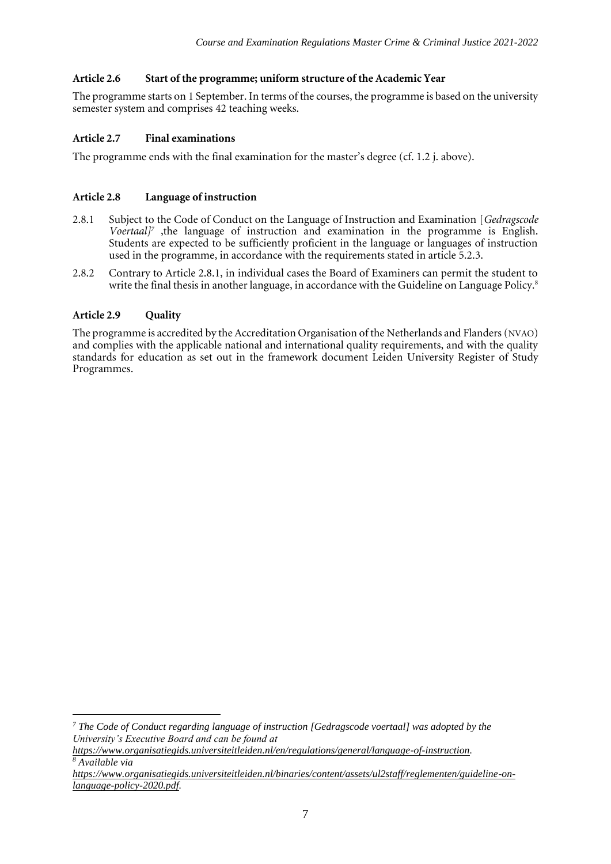## **Article 2.6 Start of the programme; uniform structure of the Academic Year**

The programme starts on 1 September. In terms of the courses, the programme is based on the university semester system and comprises 42 teaching weeks.

## **Article 2.7 Final examinations**

The programme ends with the final examination for the master's degree (cf. 1.2 j. above).

## **Article 2.8 Language of instruction**

- 2.8.1 Subject to the Code of Conduct on the Language of Instruction and Examination [*Gedragscode Voertaal]<sup>7</sup>* ,the language of instruction and examination in the programme is English. Students are expected to be sufficiently proficient in the language or languages of instruction used in the programme, in accordance with the requirements stated in article 5.2.3.
- 2.8.2 Contrary to Article 2.8.1, in individual cases the Board of Examiners can permit the student to write the final thesis in another language, in accordance with the Guideline on Language Policy.<sup>8</sup>

## **Article 2.9 Quality**

The programme is accredited by the Accreditation Organisation of the Netherlands and Flanders (NVAO) and complies with the applicable national and international quality requirements, and with the quality standards for education as set out in the framework document Leiden University Register of Study Programmes.

*<sup>7</sup> The Code of Conduct regarding language of instruction [Gedragscode voertaal] was adopted by the University's Executive Board and can be found at* 

*[https://www.organisatiegids.universiteitleiden.nl/en/regulations/general/language-of-instruction.](https://www.organisatiegids.universiteitleiden.nl/en/regulations/general/language-of-instruction) <sup>8</sup> Available via* 

*[https://www.organisatiegids.universiteitleiden.nl/binaries/content/assets/ul2staff/reglementen/guideline-on](https://www.organisatiegids.universiteitleiden.nl/binaries/content/assets/ul2staff/reglementen/guideline-on-language-policy-2020.pdf)[language-policy-2020.pdf.](https://www.organisatiegids.universiteitleiden.nl/binaries/content/assets/ul2staff/reglementen/guideline-on-language-policy-2020.pdf)*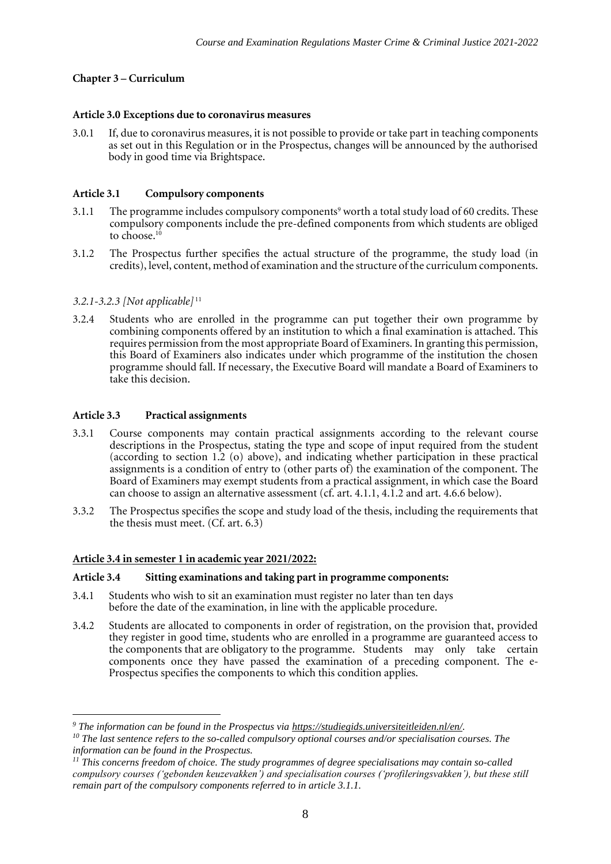## **Chapter 3 – Curriculum**

#### **Article 3.0 Exceptions due to coronavirus measures**

3.0.1 If, due to coronavirus measures, it is not possible to provide or take part in teaching components as set out in this Regulation or in the Prospectus, changes will be announced by the authorised body in good time via Brightspace.

#### **Article 3.1 Compulsory components**

- 3.1.1 The programme includes compulsory components<sup>9</sup> worth a total study load of 60 credits. These compulsory components include the pre-defined components from which students are obliged to choose.<sup>10</sup>
- 3.1.2 The Prospectus further specifies the actual structure of the programme, the study load (in credits), level, content, method of examination and the structure of the curriculum components.

#### *3.2.1-3.2.3 [Not applicable]* <sup>11</sup>

3.2.4 Students who are enrolled in the programme can put together their own programme by combining components offered by an institution to which a final examination is attached. This requires permission from the most appropriate Board of Examiners. In granting this permission, this Board of Examiners also indicates under which programme of the institution the chosen programme should fall. If necessary, the Executive Board will mandate a Board of Examiners to take this decision.

#### **Article 3.3 Practical assignments**

- 3.3.1 Course components may contain practical assignments according to the relevant course descriptions in the Prospectus, stating the type and scope of input required from the student (according to section 1.2 (o) above), and indicating whether participation in these practical assignments is a condition of entry to (other parts of) the examination of the component. The Board of Examiners may exempt students from a practical assignment, in which case the Board can choose to assign an alternative assessment (cf. art. 4.1.1, 4.1.2 and art. 4.6.6 below).
- 3.3.2 The Prospectus specifies the scope and study load of the thesis, including the requirements that the thesis must meet. (Cf. art. 6.3)

#### **Article 3.4 in semester 1 in academic year 2021/2022:**

#### **Article 3.4 Sitting examinations and taking part in programme components:**

- 3.4.1 Students who wish to sit an examination must register no later than ten days before the date of the examination, in line with the applicable procedure.
- 3.4.2 Students are allocated to components in order of registration, on the provision that, provided they register in good time, students who are enrolled in a programme are guaranteed access to the components that are obligatory to the programme. Students may only take certain components once they have passed the examination of a preceding component. The e-Prospectus specifies the components to which this condition applies.

*<sup>9</sup> The information can be found in the Prospectus via [https://studiegids.universiteitleiden.nl/en/.](https://studiegids.universiteitleiden.nl/en/)* 

*<sup>10</sup> The last sentence refers to the so-called compulsory optional courses and/or specialisation courses. The information can be found in the Prospectus.* 

*<sup>11</sup> This concerns freedom of choice. The study programmes of degree specialisations may contain so-called compulsory courses ('gebonden keuzevakken') and specialisation courses ('profileringsvakken'), but these still remain part of the compulsory components referred to in article 3.1.1.*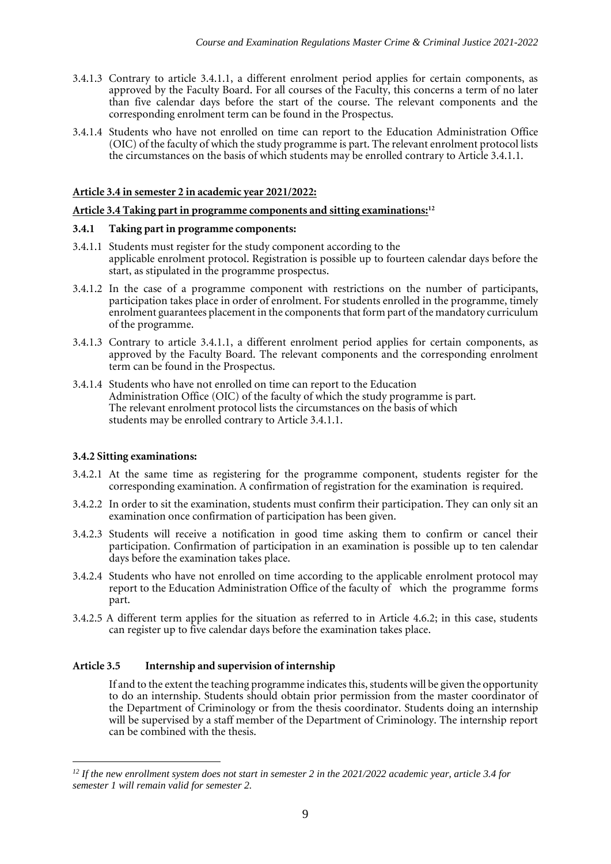- 3.4.1.3 Contrary to article 3.4.1.1, a different enrolment period applies for certain components, as approved by the Faculty Board. For all courses of the Faculty, this concerns a term of no later than five calendar days before the start of the course. The relevant components and the corresponding enrolment term can be found in the Prospectus.
- 3.4.1.4 Students who have not enrolled on time can report to the Education Administration Office (OIC) of the faculty of which the study programme is part. The relevant enrolment protocol lists the circumstances on the basis of which students may be enrolled contrary to Article 3.4.1.1.

#### **Article 3.4 in semester 2 in academic year 2021/2022:**

#### **Article 3.4 Taking part in programme components and sitting examinations:<sup>12</sup>**

#### **3.4.1 Taking part in programme components:**

- 3.4.1.1 Students must register for the study component according to the applicable enrolment protocol. Registration is possible up to fourteen calendar days before the start, as stipulated in the programme prospectus.
- 3.4.1.2 In the case of a programme component with restrictions on the number of participants, participation takes place in order of enrolment. For students enrolled in the programme, timely enrolment guarantees placement in the components that form part of the mandatory curriculum of the programme.
- 3.4.1.3 Contrary to article 3.4.1.1, a different enrolment period applies for certain components, as approved by the Faculty Board. The relevant components and the corresponding enrolment term can be found in the Prospectus.
- 3.4.1.4 Students who have not enrolled on time can report to the Education Administration Office (OIC) of the faculty of which the study programme is part. The relevant enrolment protocol lists the circumstances on the basis of which students may be enrolled contrary to Article 3.4.1.1.

#### **3.4.2 Sitting examinations:**

- 3.4.2.1 At the same time as registering for the programme component, students register for the corresponding examination. A confirmation of registration for the examination is required.
- 3.4.2.2 In order to sit the examination, students must confirm their participation. They can only sit an examination once confirmation of participation has been given.
- 3.4.2.3 Students will receive a notification in good time asking them to confirm or cancel their participation. Confirmation of participation in an examination is possible up to ten calendar days before the examination takes place.
- 3.4.2.4 Students who have not enrolled on time according to the applicable enrolment protocol may report to the Education Administration Office of the faculty of which the programme forms part.
- 3.4.2.5 A different term applies for the situation as referred to in Article 4.6.2; in this case, students can register up to five calendar days before the examination takes place.

#### **Article 3.5 Internship and supervision of internship**

If and to the extent the teaching programme indicates this, students will be given the opportunity to do an internship. Students should obtain prior permission from the master coordinator of the Department of Criminology or from the thesis coordinator. Students doing an internship will be supervised by a staff member of the Department of Criminology. The internship report can be combined with the thesis.

*<sup>12</sup> If the new enrollment system does not start in semester 2 in the 2021/2022 academic year, article 3.4 for semester 1 will remain valid for semester 2.*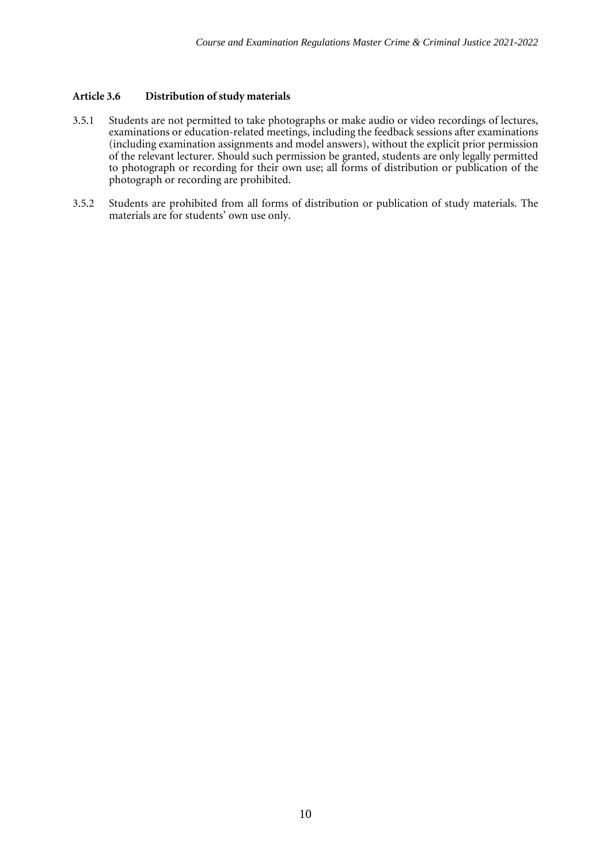## **Article** 3.6 **Distribution** of study materials

- 3.5.1 Students are not permitted to take photographs or make audio or video recordings of lectures, examinations or education-related meetings, including the feedback sessions after examinations (including examination assignments and model answers), without the explicit prior permission of the relevant lecturer. Should such permission be granted, students are only legally permitted to photograph or recording for their own use; all forms of distribution or publication of the photograph or recording are prohibited.
- 3.5.2 Students are prohibited from all forms of distribution or publication of study materials. The materials are for students' own use only.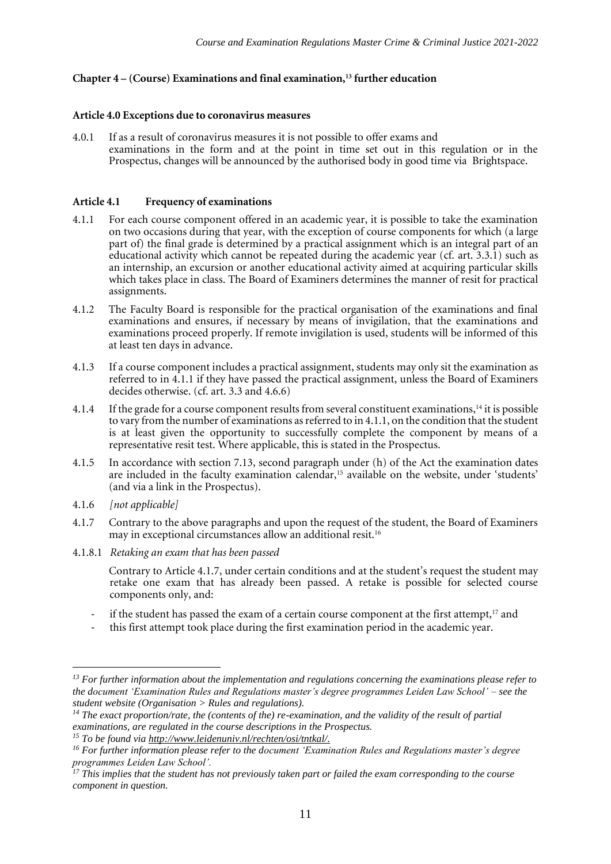#### **Chapter 4 – (Course) Examinations and final examination,<sup>13</sup> further education**

#### **Article 4.0 Exceptions due to coronavirus measures**

4.0.1 If as a result of coronavirus measures it is not possible to offer exams and examinations in the form and at the point in time set out in this regulation or in the Prospectus, changes will be announced by the authorised body in good time via Brightspace.

#### **Article 4.1 Frequency of examinations**

- 4.1.1 For each course component offered in an academic year, it is possible to take the examination on two occasions during that year, with the exception of course components for which (a large part of) the final grade is determined by a practical assignment which is an integral part of an educational activity which cannot be repeated during the academic year (cf. art.  $3.3.\overline{1}$ ) such as an internship, an excursion or another educational activity aimed at acquiring particular skills which takes place in class. The Board of Examiners determines the manner of resit for practical assignments.
- 4.1.2 The Faculty Board is responsible for the practical organisation of the examinations and final examinations and ensures, if necessary by means of invigilation, that the examinations and examinations proceed properly. If remote invigilation is used, students will be informed of this at least ten days in advance.
- 4.1.3 If a course component includes a practical assignment, students may only sit the examination as referred to in 4.1.1 if they have passed the practical assignment, unless the Board of Examiners decides otherwise. (cf. art. 3.3 and 4.6.6)
- 4.1.4 If the grade for a course component results from several constituent examinations,<sup>14</sup> it is possible to vary from the number of examinations as referred to in 4.1.1, on the condition that the student is at least given the opportunity to successfully complete the component by means of a representative resit test. Where applicable, this is stated in the Prospectus.
- 4.1.5 In accordance with section 7.13, second paragraph under (h) of the Act the examination dates are included in the faculty examination calendar,<sup>15</sup> available on the website, under 'students' (and via a link in the Prospectus).
- 4.1.6 *[not applicable]*
- 4.1.7 Contrary to the above paragraphs and upon the request of the student, the Board of Examiners may in exceptional circumstances allow an additional resit.<sup>16</sup>
- 4.1.8.1 *Retaking an exam that has been passed*

Contrary to Article 4.1.7, under certain conditions and at the student's request the student may retake one exam that has already been passed. A retake is possible for selected course components only, and:

- if the student has passed the exam of a certain course component at the first attempt,<sup>17</sup> and
- this first attempt took place during the first examination period in the academic year.

*<sup>13</sup> For further information about the implementation and regulations concerning the examinations please refer to the document 'Examination Rules and Regulations master's degree programmes Leiden Law School' – see the student website (Organisation > Rules and regulations).* 

*<sup>14</sup> The exact proportion/rate, the (contents of the) re-examination, and the validity of the result of partial examinations, are regulated in the course descriptions in the Prospectus.* 

*<sup>15</sup> To be found via [http://www.leidenuniv.nl/rechten/osi/tntkal/.](http://www.leidenuniv.nl/rechten/osi/tntkal/)*

*<sup>16</sup> For further information please refer to the document 'Examination Rules and Regulations master's degree programmes Leiden Law School'.*

*<sup>17</sup> This implies that the student has not previously taken part or failed the exam corresponding to the course component in question.*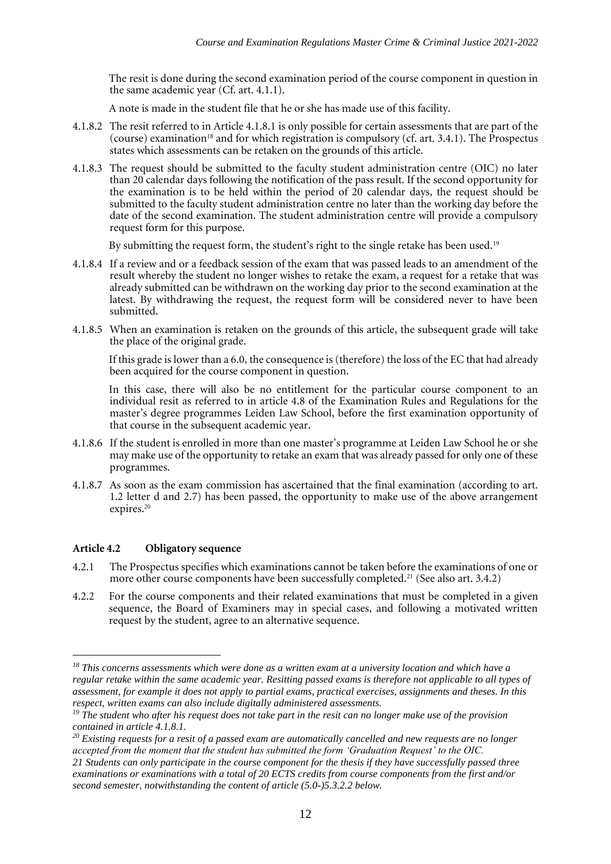The resit is done during the second examination period of the course component in question in the same academic year (Cf. art. 4.1.1).

A note is made in the student file that he or she has made use of this facility.

- 4.1.8.2 The resit referred to in Article 4.1.8.1 is only possible for certain assessments that are part of the (course) examination<sup>18</sup> and for which registration is compulsory (cf. art. 3.4.1). The Prospectus states which assessments can be retaken on the grounds of this article.
- 4.1.8.3 The request should be submitted to the faculty student administration centre (OIC) no later than 20 calendar days following the notification of the pass result. If the second opportunity for the examination is to be held within the period of  $20$  calendar days, the request should be submitted to the faculty student administration centre no later than the working day before the date of the second examination. The student administration centre will provide a compulsory request form for this purpose.

By submitting the request form, the student's right to the single retake has been used.<sup>19</sup>

- 4.1.8.4 If a review and or a feedback session of the exam that was passed leads to an amendment of the result whereby the student no longer wishes to retake the exam, a request for a retake that was already submitted can be withdrawn on the working day prior to the second examination at the latest. By withdrawing the request, the request form will be considered never to have been submitted.
- 4.1.8.5 When an examination is retaken on the grounds of this article, the subsequent grade will take the place of the original grade.

If this grade is lower than a 6.0, the consequence is (therefore) the loss of the EC that had already been acquired for the course component in question.

In this case, there will also be no entitlement for the particular course component to an individual resit as referred to in article 4.8 of the Examination Rules and Regulations for the master's degree programmes Leiden Law School, before the first examination opportunity of that course in the subsequent academic year.

- 4.1.8.6 If the student is enrolled in more than one master's programme at Leiden Law School he or she may make use of the opportunity to retake an exam that was already passed for only one of these programmes.
- 4.1.8.7 As soon as the exam commission has ascertained that the final examination (according to art. 1.2 letter d and 2.7) has been passed, the opportunity to make use of the above arrangement expires.<sup>20</sup>

#### **Article 4.2 Obligatory sequence**

- 4.2.1 The Prospectus specifies which examinations cannot be taken before the examinations of one or more other course components have been successfully completed.<sup>21</sup> (See also art. 3.4.2)
- 4.2.2 For the course components and their related examinations that must be completed in a given sequence, the Board of Examiners may in special cases, and following a motivated written request by the student, agree to an alternative sequence.

*<sup>18</sup> This concerns assessments which were done as a written exam at a university location and which have a regular retake within the same academic year. Resitting passed exams is therefore not applicable to all types of assessment, for example it does not apply to partial exams, practical exercises, assignments and theses. In this respect, written exams can also include digitally administered assessments.*

*<sup>19</sup> The student who after his request does not take part in the resit can no longer make use of the provision contained in article 4.1.8.1.*

*<sup>20</sup> Existing requests for a resit of a passed exam are automatically cancelled and new requests are no longer accepted from the moment that the student has submitted the form 'Graduation Request' to the OIC.*

*<sup>21</sup> Students can only participate in the course component for the thesis if they have successfully passed three examinations or examinations with a total of 20 ECTS credits from course components from the first and/or second semester, notwithstanding the content of article (5.0-)5.3.2.2 below.*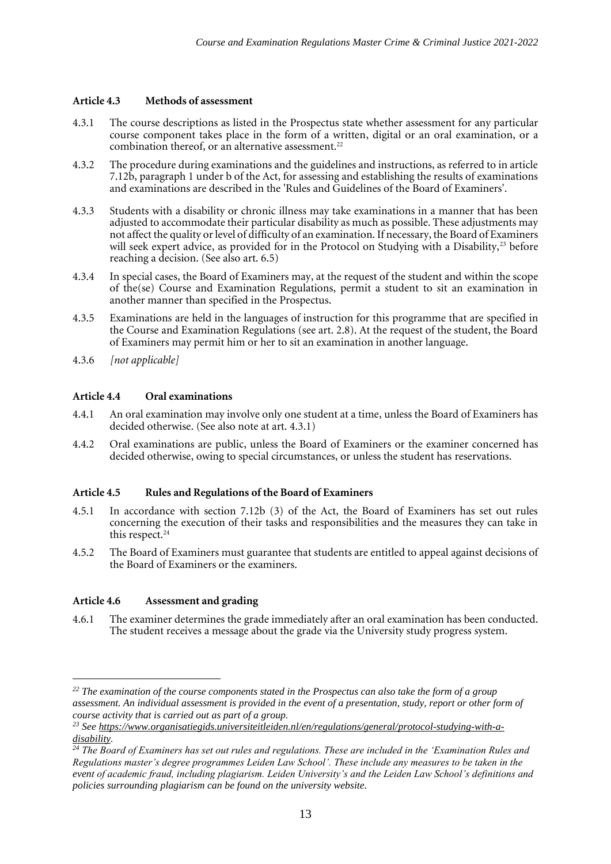## **Article 4.3 Methods of assessment**

- 4.3.1 The course descriptions as listed in the Prospectus state whether assessment for any particular course component takes place in the form of a written, digital or an oral examination, or a combination thereof, or an alternative assessment.<sup>22</sup>
- 4.3.2 The procedure during examinations and the guidelines and instructions, as referred to in article 7.12b, paragraph 1 under b of the Act, for assessing and establishing the results of examinations and examinations are described in the 'Rules and Guidelines of the Board of Examiners'.
- 4.3.3 Students with a disability or chronic illness may take examinations in a manner that has been adjusted to accommodate their particular disability as much as possible. These adjustments may not affect the quality or level of difficulty of an examination. If necessary, the Board of Examiners will seek expert advice, as provided for in the Protocol on Studying with a Disability,<sup>23</sup> before reaching a decision. (See also art. 6.5)
- 4.3.4 In special cases, the Board of Examiners may, at the request of the student and within the scope of the(se) Course and Examination Regulations, permit a student to sit an examination in another manner than specified in the Prospectus.
- 4.3.5 Examinations are held in the languages of instruction for this programme that are specified in the Course and Examination Regulations (see art. 2.8). At the request of the student, the Board of Examiners may permit him or her to sit an examination in another language.
- 4.3.6 *[not applicable]*

## **Article 4.4 Oral examinations**

- 4.4.1 An oral examination may involve only one student at a time, unless the Board of Examiners has decided otherwise. (See also note at art. 4.3.1)
- 4.4.2 Oral examinations are public, unless the Board of Examiners or the examiner concerned has decided otherwise, owing to special circumstances, or unless the student has reservations.

#### **Article 4.5 Rules and Regulations of the Board of Examiners**

- 4.5.1 In accordance with section 7.12b (3) of the Act, the Board of Examiners has set out rules concerning the execution of their tasks and responsibilities and the measures they can take in this respect.<sup>24</sup>
- 4.5.2 The Board of Examiners must guarantee that students are entitled to appeal against decisions of the Board of Examiners or the examiners.

## **Article 4.6 Assessment and grading**

4.6.1 The examiner determines the grade immediately after an oral examination has been conducted. The student receives a message about the grade via the University study progress system.

*<sup>22</sup> The examination of the course components stated in the Prospectus can also take the form of a group assessment. An individual assessment is provided in the event of a presentation, study, report or other form of course activity that is carried out as part of a group.* 

*<sup>23</sup> See [https://www.organisatiegids.universiteitleiden.nl/en/regulations/general/protocol-studying-with-a](https://www.organisatiegids.universiteitleiden.nl/en/regulations/general/protocol-studying-with-a-disability)[disability.](https://www.organisatiegids.universiteitleiden.nl/en/regulations/general/protocol-studying-with-a-disability)* 

*<sup>24</sup> The Board of Examiners has set out rules and regulations. These are included in the 'Examination Rules and Regulations master's degree programmes Leiden Law School'. These include any measures to be taken in the event of academic fraud, including plagiarism. Leiden University's and the Leiden Law School's definitions and policies surrounding plagiarism can be found on the university website.*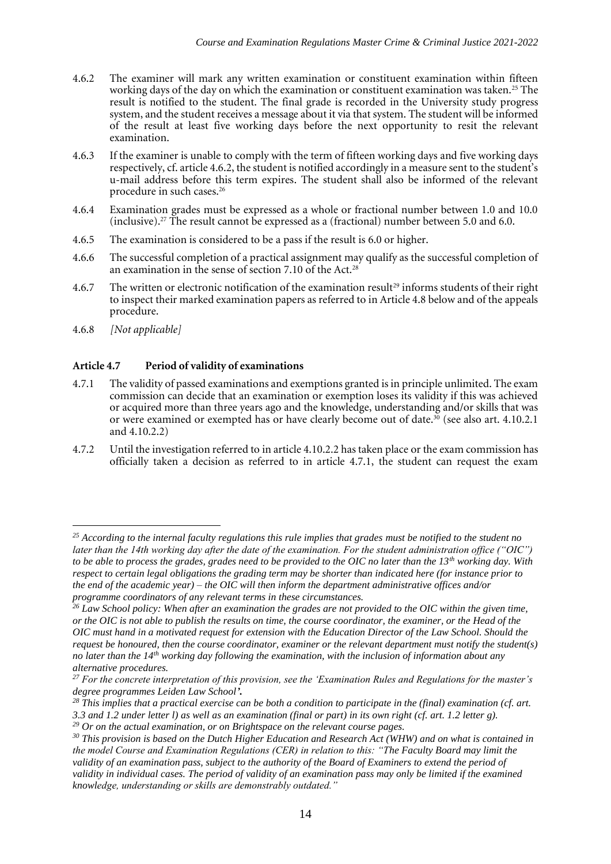- 4.6.2 The examiner will mark any written examination or constituent examination within fifteen working days of the day on which the examination or constituent examination was taken.<sup>25</sup> The result is notified to the student. The final grade is recorded in the University study progress system, and the student receives a message about it via that system. The student will be informed of the result at least five working days before the next opportunity to resit the relevant examination.
- 4.6.3 If the examiner is unable to comply with the term of fifteen working days and five working days respectively, cf. article 4.6.2, the student is notified accordingly in a measure sent to the student's u-mail address before this term expires. The student shall also be informed of the relevant procedure in such cases.<sup>26</sup>
- 4.6.4 Examination grades must be expressed as a whole or fractional number between 1.0 and 10.0 (inclusive).<sup>27</sup> The result cannot be expressed as a (fractional) number between 5.0 and 6.0.
- 4.6.5 The examination is considered to be a pass if the result is 6.0 or higher.
- 4.6.6 The successful completion of a practical assignment may qualify as the successful completion of an examination in the sense of section 7.10 of the Act.<sup>28</sup>
- 4.6.7 The written or electronic notification of the examination result<sup>29</sup> informs students of their right to inspect their marked examination papers as referred to in Article 4.8 below and of the appeals procedure.
- 4.6.8 *[Not applicable]*

## **Article 4.7 Period of validity of examinations**

- 4.7.1 The validity of passed examinations and exemptions granted is in principle unlimited. The exam commission can decide that an examination or exemption loses its validity if this was achieved or acquired more than three years ago and the knowledge, understanding and/or skills that was or were examined or exempted has or have clearly become out of date.<sup>30</sup> (see also art. 4.10.2.1 and 4.10.2.2)
- 4.7.2 Until the investigation referred to in article 4.10.2.2 has taken place or the exam commission has officially taken a decision as referred to in article 4.7.1, the student can request the exam

*<sup>25</sup> According to the internal faculty regulations this rule implies that grades must be notified to the student no later than the 14th working day after the date of the examination. For the student administration office ("OIC") to be able to process the grades, grades need to be provided to the OIC no later than the 13th working day. With respect to certain legal obligations the grading term may be shorter than indicated here (for instance prior to the end of the academic year) – the OIC will then inform the department administrative offices and/or programme coordinators of any relevant terms in these circumstances.* 

*<sup>26</sup> Law School policy: When after an examination the grades are not provided to the OIC within the given time, or the OIC is not able to publish the results on time, the course coordinator, the examiner, or the Head of the OIC must hand in a motivated request for extension with the Education Director of the Law School. Should the request be honoured, then the course coordinator, examiner or the relevant department must notify the student(s) no later than the 14th working day following the examination, with the inclusion of information about any alternative procedures.* 

*<sup>27</sup> For the concrete interpretation of this provision, see the 'Examination Rules and Regulations for the master's degree programmes Leiden Law School'.*

*<sup>28</sup> This implies that a practical exercise can be both a condition to participate in the (final) examination (cf. art. 3.3 and 1.2 under letter l) as well as an examination (final or part) in its own right (cf. art. 1.2 letter g).* 

*<sup>29</sup> Or on the actual examination, or on Brightspace on the relevant course pages.*

*<sup>30</sup> This provision is based on the Dutch Higher Education and Research Act (WHW) and on what is contained in the model Course and Examination Regulations (CER) in relation to this: "The Faculty Board may limit the*  validity of an examination pass, subject to the authority of the Board of Examiners to extend the period of *validity in individual cases. The period of validity of an examination pass may only be limited if the examined knowledge, understanding or skills are demonstrably outdated."*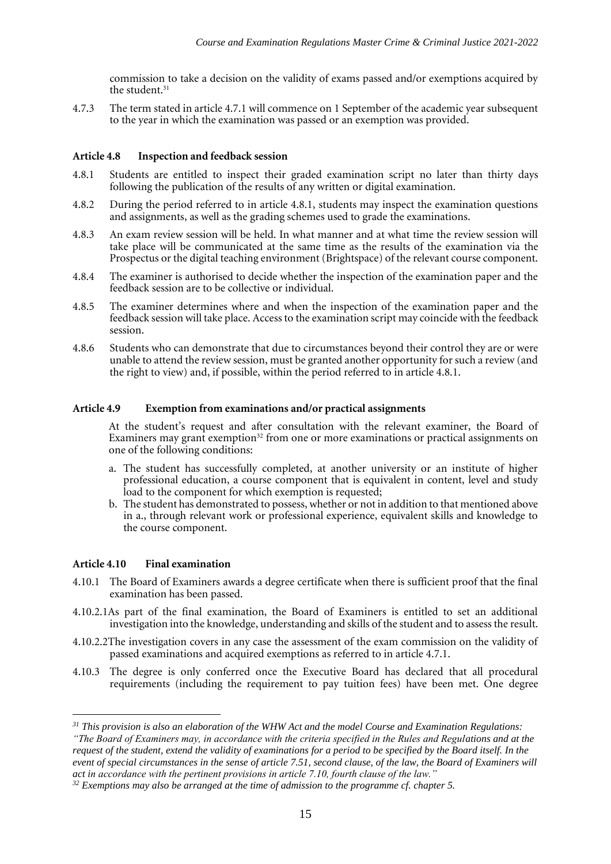commission to take a decision on the validity of exams passed and/or exemptions acquired by the student.<sup>31</sup>

4.7.3 The term stated in article 4.7.1 will commence on 1 September of the academic year subsequent to the year in which the examination was passed or an exemption was provided.

#### **Article 4.8 Inspection and feedback session**

- 4.8.1 Students are entitled to inspect their graded examination script no later than thirty days following the publication of the results of any written or digital examination.
- 4.8.2 During the period referred to in article 4.8.1, students may inspect the examination questions and assignments, as well as the grading schemes used to grade the examinations.
- 4.8.3 An exam review session will be held. In what manner and at what time the review session will take place will be communicated at the same time as the results of the examination via the Prospectus or the digital teaching environment (Brightspace) of the relevant course component.
- 4.8.4 The examiner is authorised to decide whether the inspection of the examination paper and the feedback session are to be collective or individual.
- 4.8.5 The examiner determines where and when the inspection of the examination paper and the feedback session will take place. Access to the examination script may coincide with the feedback session.
- 4.8.6 Students who can demonstrate that due to circumstances beyond their control they are or were unable to attend the review session, must be granted another opportunity for such a review (and the right to view) and, if possible, within the period referred to in article 4.8.1.

#### **Article 4.9 Exemption from examinations and/or practical assignments**

At the student's request and after consultation with the relevant examiner, the Board of Examiners may grant exemption<sup>32</sup> from one or more examinations or practical assignments on one of the following conditions:

- a. The student has successfully completed, at another university or an institute of higher professional education, a course component that is equivalent in content, level and study load to the component for which exemption is requested;
- b. The student has demonstrated to possess, whether or not in addition to that mentioned above in a., through relevant work or professional experience, equivalent skills and knowledge to the course component.

#### **Article 4.10 Final examination**

- 4.10.1 The Board of Examiners awards a degree certificate when there is sufficient proof that the final examination has been passed.
- 4.10.2.1As part of the final examination, the Board of Examiners is entitled to set an additional investigation into the knowledge, understanding and skills of the student and to assess the result.
- 4.10.2.2The investigation covers in any case the assessment of the exam commission on the validity of passed examinations and acquired exemptions as referred to in article 4.7.1.
- 4.10.3 The degree is only conferred once the Executive Board has declared that all procedural requirements (including the requirement to pay tuition fees) have been met. One degree

*<sup>31</sup> This provision is also an elaboration of the WHW Act and the model Course and Examination Regulations: "The Board of Examiners may, in accordance with the criteria specified in the Rules and Regulations and at the request of the student, extend the validity of examinations for a period to be specified by the Board itself. In the event of special circumstances in the sense of article 7.51, second clause, of the law, the Board of Examiners will act in accordance with the pertinent provisions in article 7.10, fourth clause of the law."*

*<sup>32</sup> Exemptions may also be arranged at the time of admission to the programme cf. chapter 5.*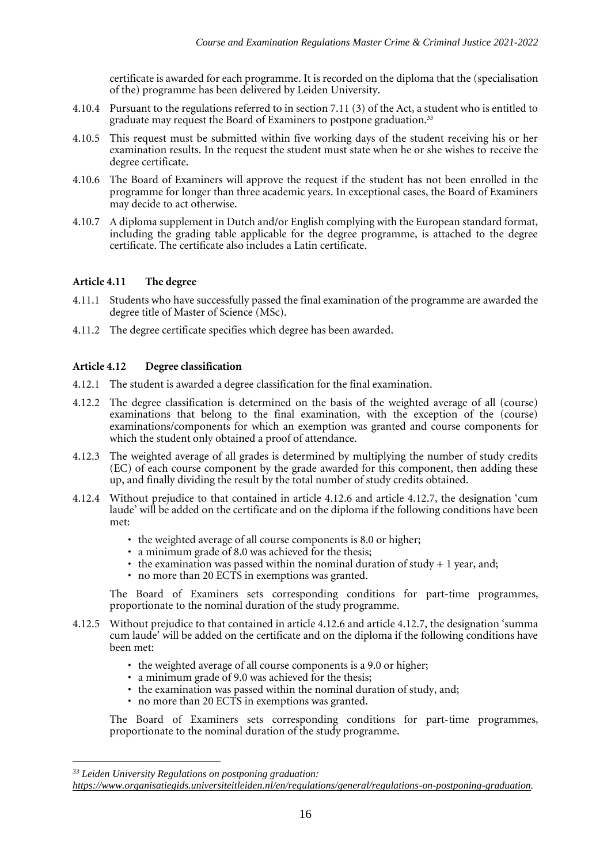certificate is awarded for each programme. It is recorded on the diploma that the (specialisation of the) programme has been delivered by Leiden University.

- 4.10.4 Pursuant to the regulations referred to in section 7.11 (3) of the Act, a student who is entitled to graduate may request the Board of Examiners to postpone graduation.<sup>33</sup>
- 4.10.5 This request must be submitted within five working days of the student receiving his or her examination results. In the request the student must state when he or she wishes to receive the degree certificate.
- 4.10.6 The Board of Examiners will approve the request if the student has not been enrolled in the programme for longer than three academic years. In exceptional cases, the Board of Examiners may decide to act otherwise.
- 4.10.7 A diploma supplement in Dutch and/or English complying with the European standard format, including the grading table applicable for the degree programme, is attached to the degree certificate. The certificate also includes a Latin certificate.

## **Article 4.11 The degree**

- 4.11.1 Students who have successfully passed the final examination of the programme are awarded the degree title of Master of Science (MSc).
- 4.11.2 The degree certificate specifies which degree has been awarded.

## **Article 4.12 Degree classification**

- 4.12.1 The student is awarded a degree classification for the final examination.
- 4.12.2 The degree classification is determined on the basis of the weighted average of all (course) examinations that belong to the final examination, with the exception of the (course) examinations/components for which an exemption was granted and course components for which the student only obtained a proof of attendance.
- 4.12.3 The weighted average of all grades is determined by multiplying the number of study credits (EC) of each course component by the grade awarded for this component, then adding these up, and finally dividing the result by the total number of study credits obtained.
- 4.12.4 Without prejudice to that contained in article 4.12.6 and article 4.12.7, the designation 'cum laude' will be added on the certificate and on the diploma if the following conditions have been met:
	- the weighted average of all course components is 8.0 or higher;
	- a minimum grade of 8.0 was achieved for the thesis;
	- the examination was passed within the nominal duration of study  $+1$  year, and;
	- no more than 20 ECTS in exemptions was granted.

The Board of Examiners sets corresponding conditions for part-time programmes, proportionate to the nominal duration of the study programme.

- 4.12.5 Without prejudice to that contained in article 4.12.6 and article 4.12.7, the designation 'summa cum laude' will be added on the certificate and on the diploma if the following conditions have been met:
	- the weighted average of all course components is a 9.0 or higher;
	- a minimum grade of 9.0 was achieved for the thesis;
	- the examination was passed within the nominal duration of study, and;
	- no more than 20 ECTS in exemptions was granted.

The Board of Examiners sets corresponding conditions for part-time programmes, proportionate to the nominal duration of the study programme.

*<sup>33</sup> Leiden University Regulations on postponing graduation:* 

*[https://www.organisatiegids.universiteitleiden.nl/en/regulations/general/regulations-on-postponing-graduation.](https://www.organisatiegids.universiteitleiden.nl/en/regulations/general/regulations-on-postponing-graduation)*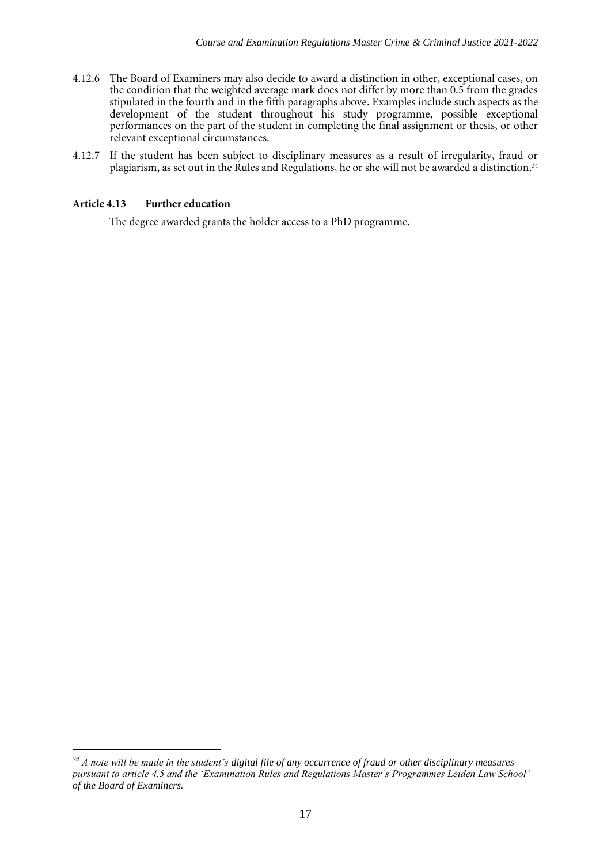- 4.12.6 The Board of Examiners may also decide to award a distinction in other, exceptional cases, on the condition that the weighted average mark does not differ by more than 0.5 from the grades stipulated in the fourth and in the fifth paragraphs above. Examples include such aspects as the development of the student throughout his study programme, possible exceptional performances on the part of the student in completing the final assignment or thesis, or other relevant exceptional circumstances.
- 4.12.7 If the student has been subject to disciplinary measures as a result of irregularity, fraud or plagiarism, as set out in the Rules and Regulations, he or she will not be awarded a distinction.<sup>34</sup>

#### **Article 4.13 Further education**

The degree awarded grants the holder access to a PhD programme.

*<sup>34</sup> A note will be made in the student's digital file of any occurrence of fraud or other disciplinary measures pursuant to article 4.5 and the 'Examination Rules and Regulations Master's Programmes Leiden Law School' of the Board of Examiners.*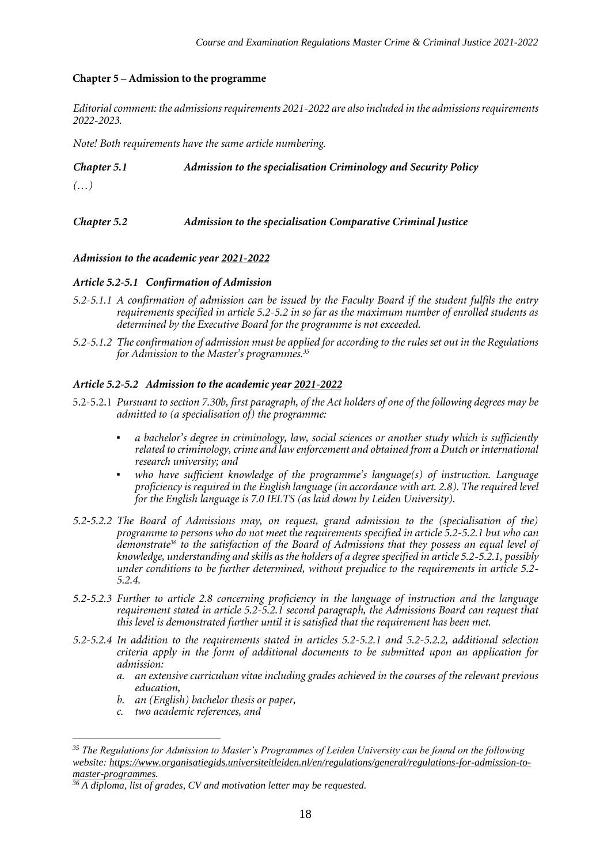#### **Chapter 5 – Admission to the programme**

*Editorial comment: the admissions requirements 2021-2022 are also included in the admissions requirements 2022-2023.*

*Note! Both requirements have the same article numbering.*

#### *Chapter 5.1 Admission to the specialisation Criminology and Security Policy*

*(…)*

## *Chapter 5.2 Admission to the specialisation Comparative Criminal Justice*

#### *Admission to the academic year 2021-2022*

#### *Article 5.2-5.1 Confirmation of Admission*

- *5.2-5.1.1 A confirmation of admission can be issued by the Faculty Board if the student fulfils the entry requirements specified in article 5.2-5.2 in so far as the maximum number of enrolled students as determined by the Executive Board for the programme is not exceeded.*
- *5.2-5.1.2 The confirmation of admission must be applied for according to the rules set out in the Regulations for Admission to the Master's programmes.<sup>35</sup>*

#### *Article 5.2-5.2 Admission to the academic year 2021-2022*

- 5.2-5.2.1 *Pursuant to section 7.30b, first paragraph, of the Act holders of one of the following degrees may be admitted to (a specialisation of) the programme:*
	- a bachelor's degree in criminology, law, social sciences or another study which is sufficiently *related to criminology, crime and law enforcement and obtained from a Dutch or international research university; and*
	- *who have sufficient knowledge of the programme's language(s) of instruction. Language proficiency is required in the English language (in accordance with art. 2.8). The required level for the English language is 7.0 IELTS (as laid down by Leiden University).*
- *5.2-5.2.2 The Board of Admissions may, on request, grand admission to the (specialisation of the) programme to persons who do not meet the requirements specified in article 5.2-5.2.1 but who can demonstrate<sup>36</sup> to the satisfaction of the Board of Admissions that they possess an equal level of knowledge, understanding and skills as the holders of a degree specified in article 5.2-5.2.1, possibly under conditions to be further determined, without prejudice to the requirements in article 5.2- 5.2.4.*
- *5.2-5.2.3 Further to article 2.8 concerning proficiency in the language of instruction and the language requirement stated in article 5.2-5.2.1 second paragraph, the Admissions Board can request that this level is demonstrated further until it is satisfied that the requirement has been met.*
- *5.2-5.2.4 In addition to the requirements stated in articles 5.2-5.2.1 and 5.2-5.2.2, additional selection criteria apply in the form of additional documents to be submitted upon an application for admission:*
	- *a. an extensive curriculum vitae including grades achieved in the courses of the relevant previous education,*
	- *b. an (English) bachelor thesis or paper,*
	- *c. two academic references, and*

*<sup>35</sup> The Regulations for Admission to Master's Programmes of Leiden University can be found on the following website[: https://www.organisatiegids.universiteitleiden.nl/en/regulations/general/regulations-for-admission-to](https://www.organisatiegids.universiteitleiden.nl/en/regulations/general/regulations-for-admission-to-master-programmes)[master-programmes.](https://www.organisatiegids.universiteitleiden.nl/en/regulations/general/regulations-for-admission-to-master-programmes)*

*<sup>36</sup> A diploma, list of grades, CV and motivation letter may be requested.*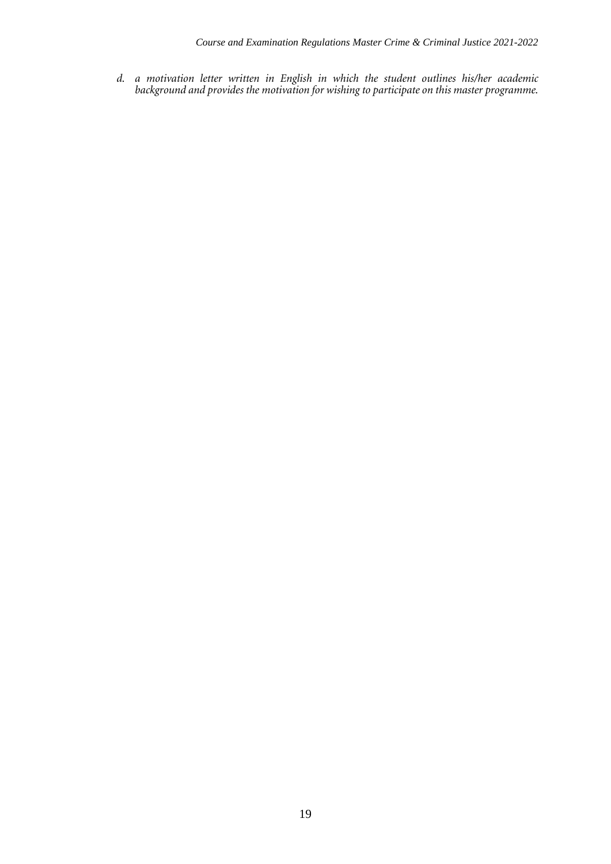*d. a motivation letter written in English in which the student outlines his/her academic background and provides the motivation for wishing to participate on this master programme.*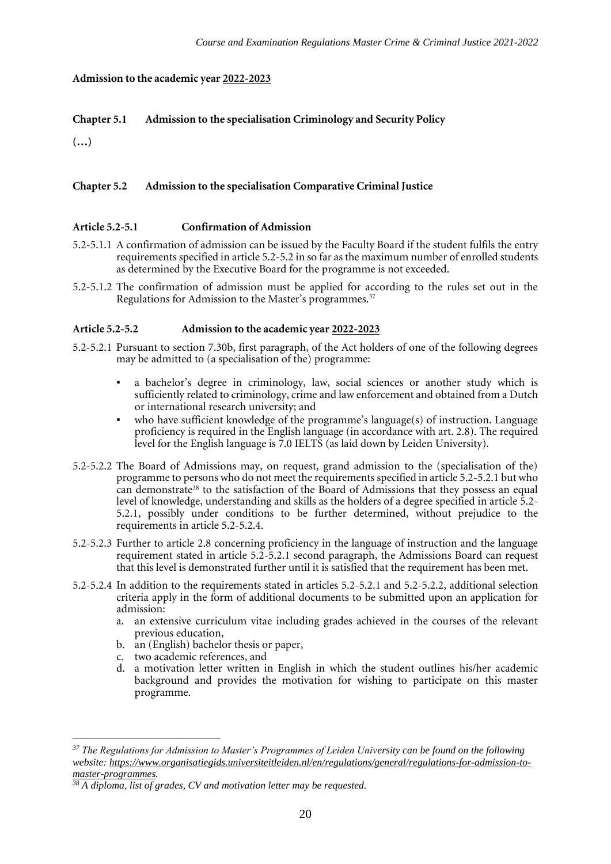#### **Admission to the academic year 2022-2023**

## **Chapter 5.1 Admission to the specialisation Criminology and Security Policy**

**(…)**

#### **Chapter 5.2 Admission to the specialisation Comparative Criminal Justice**

#### **Article 5.2-5.1 Confirmation of Admission**

- 5.2-5.1.1 A confirmation of admission can be issued by the Faculty Board if the student fulfils the entry requirements specified in article 5.2-5.2 in so far as the maximum number of enrolled students as determined by the Executive Board for the programme is not exceeded.
- 5.2-5.1.2 The confirmation of admission must be applied for according to the rules set out in the Regulations for Admission to the Master's programmes.<sup>37</sup>

#### **Article 5.2-5.2 Admission to the academic year 2022-2023**

- 5.2-5.2.1 Pursuant to section 7.30b, first paragraph, of the Act holders of one of the following degrees may be admitted to (a specialisation of the) programme:
	- a bachelor's degree in criminology, law, social sciences or another study which is sufficiently related to criminology, crime and law enforcement and obtained from a Dutch or international research university; and
	- who have sufficient knowledge of the programme's language(s) of instruction. Language proficiency is required in the English language (in accordance with art. 2.8). The required level for the English language is 7.0 IELTS (as laid down by Leiden University).
- 5.2-5.2.2 The Board of Admissions may, on request, grand admission to the (specialisation of the) programme to persons who do not meet the requirements specified in article 5.2-5.2.1 but who can demonstrate<sup>38</sup> to the satisfaction of the Board of Admissions that they possess an equal level of knowledge, understanding and skills as the holders of a degree specified in article 5.2- 5.2.1, possibly under conditions to be further determined, without prejudice to the requirements in article 5.2-5.2.4.
- 5.2-5.2.3 Further to article 2.8 concerning proficiency in the language of instruction and the language requirement stated in article 5.2-5.2.1 second paragraph, the Admissions Board can request that this level is demonstrated further until it is satisfied that the requirement has been met.
- 5.2-5.2.4 In addition to the requirements stated in articles 5.2-5.2.1 and 5.2-5.2.2, additional selection criteria apply in the form of additional documents to be submitted upon an application for admission:
	- a. an extensive curriculum vitae including grades achieved in the courses of the relevant previous education,
	- b. an (English) bachelor thesis or paper,
	- c. two academic references, and
	- d. a motivation letter written in English in which the student outlines his/her academic background and provides the motivation for wishing to participate on this master programme.

*<sup>37</sup> The Regulations for Admission to Master's Programmes of Leiden University can be found on the following website[: https://www.organisatiegids.universiteitleiden.nl/en/regulations/general/regulations-for-admission-to](https://www.organisatiegids.universiteitleiden.nl/en/regulations/general/regulations-for-admission-to-master-programmes)[master-programmes.](https://www.organisatiegids.universiteitleiden.nl/en/regulations/general/regulations-for-admission-to-master-programmes)*

*<sup>38</sup> A diploma, list of grades, CV and motivation letter may be requested.*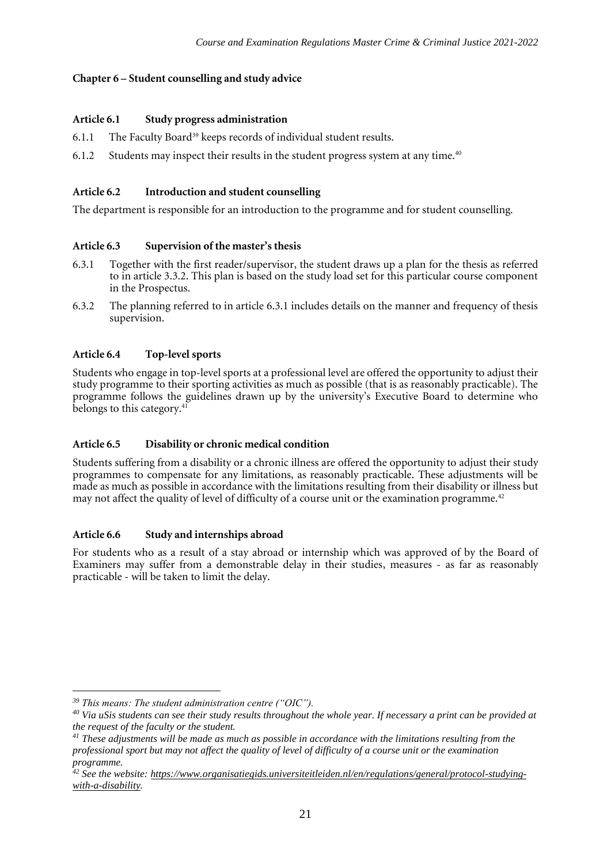#### **Chapter 6 – Student counselling and study advice**

#### **Article 6.1 Study progress administration**

- 6.1.1 The Faculty Board<sup>39</sup> keeps records of individual student results.
- 6.1.2 Students may inspect their results in the student progress system at any time.<sup>40</sup>

## **Article 6.2 Introduction and student counselling**

The department is responsible for an introduction to the programme and for student counselling.

## **Article 6.3 Supervision of the master's thesis**

- 6.3.1 Together with the first reader/supervisor, the student draws up a plan for the thesis as referred to in article 3.3.2. This plan is based on the study load set for this particular course component in the Prospectus.
- 6.3.2 The planning referred to in article 6.3.1 includes details on the manner and frequency of thesis supervision.

## **Article 6.4 Top-level sports**

Students who engage in top-level sports at a professional level are offered the opportunity to adjust their study programme to their sporting activities as much as possible (that is as reasonably practicable). The programme follows the guidelines drawn up by the university's Executive Board to determine who belongs to this category.<sup>41</sup>

#### **Article 6.5 Disability or chronic medical condition**

Students suffering from a disability or a chronic illness are offered the opportunity to adjust their study programmes to compensate for any limitations, as reasonably practicable. These adjustments will be made as much as possible in accordance with the limitations resulting from their disability or illness but may not affect the quality of level of difficulty of a course unit or the examination programme.<sup>42</sup>

#### **Article 6.6 Study and internships abroad**

For students who as a result of a stay abroad or internship which was approved of by the Board of Examiners may suffer from a demonstrable delay in their studies, measures - as far as reasonably practicable - will be taken to limit the delay.

*<sup>39</sup> This means: The student administration centre ("OIC").*

*<sup>40</sup> Via uSis students can see their study results throughout the whole year. If necessary a print can be provided at the request of the faculty or the student.*

*<sup>41</sup> These adjustments will be made as much as possible in accordance with the limitations resulting from the professional sport but may not affect the quality of level of difficulty of a course unit or the examination programme.*

*<sup>42</sup> See the website: [https://www.organisatiegids.universiteitleiden.nl/en/regulations/general/protocol-studying](https://www.organisatiegids.universiteitleiden.nl/en/regulations/general/protocol-studying-with-a-disability)[with-a-disability.](https://www.organisatiegids.universiteitleiden.nl/en/regulations/general/protocol-studying-with-a-disability)*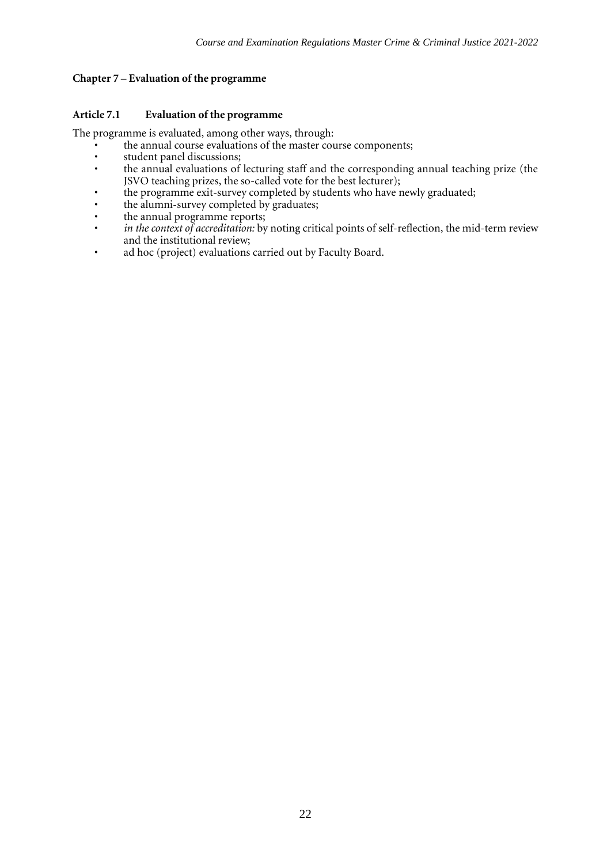#### **Chapter 7 – Evaluation of the programme**

#### **Article 7.1 Evaluation of the programme**

The programme is evaluated, among other ways, through:

- the annual course evaluations of the master course components;
- student panel discussions;<br>• the annual evaluations of
- the annual evaluations of lecturing staff and the corresponding annual teaching prize (the JSVO teaching prizes, the so-called vote for the best lecturer);
- the programme exit-survey completed by students who have newly graduated;
- the alumni-survey completed by graduates;
- the annual programme reports;
- *in the context of accreditation:* by noting critical points of self-reflection, the mid-term review and the institutional review;
- ad hoc (project) evaluations carried out by Faculty Board.